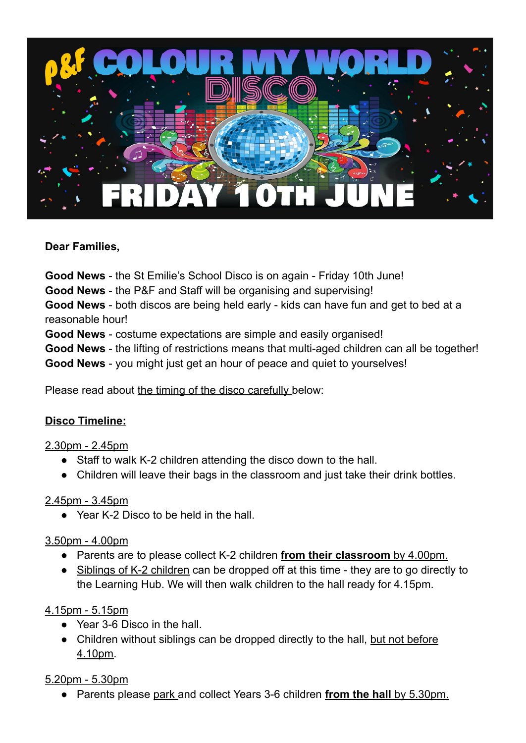

#### **Dear Families,**

**Good News** - the St Emilie's School Disco is on again - Friday 10th June!

**Good News** - the P&F and Staff will be organising and supervising!

**Good News** - both discos are being held early - kids can have fun and get to bed at a reasonable hour!

**Good News** - costume expectations are simple and easily organised!

**Good News** - the lifting of restrictions means that multi-aged children can all be together!

**Good News** - you might just get an hour of peace and quiet to yourselves!

Please read about the timing of the disco carefully below:

#### **Disco Timeline:**

#### 2.30pm - 2.45pm

- Staff to walk K-2 children attending the disco down to the hall.
- Children will leave their bags in the classroom and just take their drink bottles.

#### 2.45pm - 3.45pm

● Year K-2 Disco to be held in the hall.

#### 3.50pm - 4.00pm

- Parents are to please collect K-2 children **from their classroom** by 4.00pm.
- Siblings of K-2 children can be dropped off at this time they are to go directly to the Learning Hub. We will then walk children to the hall ready for 4.15pm.

### 4.15pm - 5.15pm

- Year 3-6 Disco in the hall.
- Children without siblings can be dropped directly to the hall, but not before 4.10pm.

### 5.20pm - 5.30pm

● Parents please park and collect Years 3-6 children **from the hall** by 5.30pm.